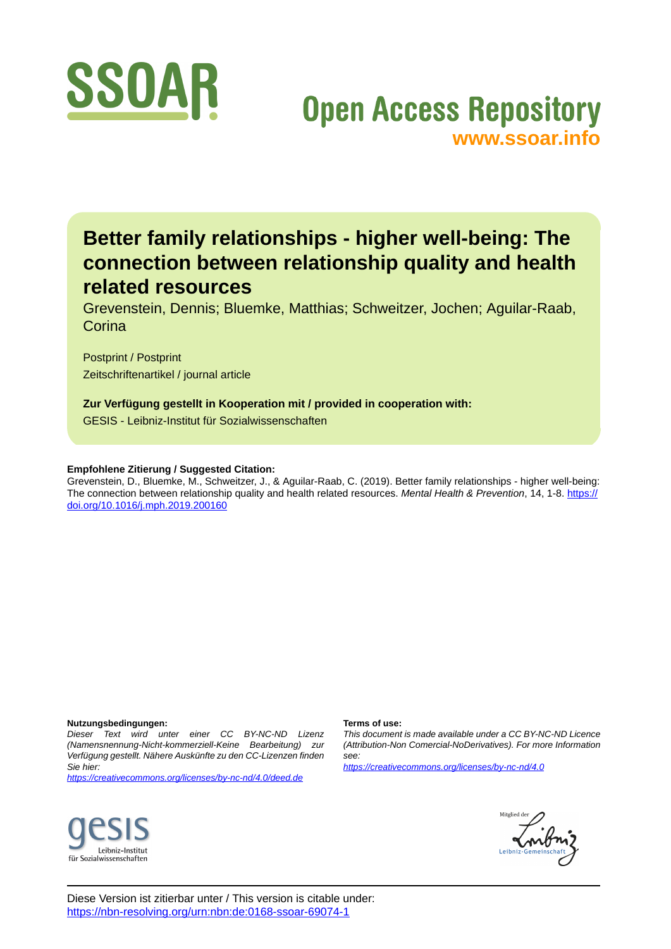

# **Open Access Repository [www.ssoar.info](http://www.ssoar.info)**

# **Better family relationships - higher well-being: The connection between relationship quality and health related resources**

Grevenstein, Dennis; Bluemke, Matthias; Schweitzer, Jochen; Aguilar-Raab, **Corina** 

Postprint / Postprint Zeitschriftenartikel / journal article

**Zur Verfügung gestellt in Kooperation mit / provided in cooperation with:** GESIS - Leibniz-Institut für Sozialwissenschaften

# **Empfohlene Zitierung / Suggested Citation:**

Grevenstein, D., Bluemke, M., Schweitzer, J., & Aguilar-Raab, C. (2019). Better family relationships - higher well-being: The connection between relationship quality and health related resources. *Mental Health & Prevention*, 14, 1-8. [https://](https://doi.org/10.1016/j.mph.2019.200160) [doi.org/10.1016/j.mph.2019.200160](https://doi.org/10.1016/j.mph.2019.200160)

# **Nutzungsbedingungen:**

*Dieser Text wird unter einer CC BY-NC-ND Lizenz (Namensnennung-Nicht-kommerziell-Keine Bearbeitung) zur Verfügung gestellt. Nähere Auskünfte zu den CC-Lizenzen finden Sie hier:*

*<https://creativecommons.org/licenses/by-nc-nd/4.0/deed.de>*

# Leibniz-Institut für Sozialwissenschaften

#### **Terms of use:**

*This document is made available under a CC BY-NC-ND Licence (Attribution-Non Comercial-NoDerivatives). For more Information see:*

*<https://creativecommons.org/licenses/by-nc-nd/4.0>*



Diese Version ist zitierbar unter / This version is citable under: <https://nbn-resolving.org/urn:nbn:de:0168-ssoar-69074-1>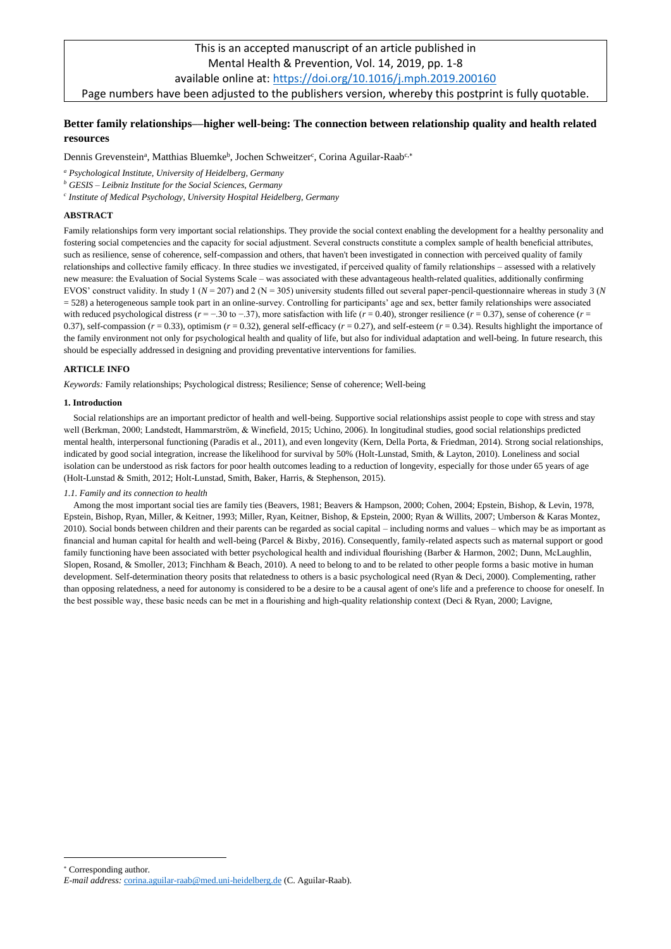# This is an accepted manuscript of an article published in Mental Health & Prevention, Vol. 14, 2019, pp. 1-8 available online at:<https://doi.org/10.1016/j.mph.2019.200160> Page numbers have been adjusted to the publishers version, whereby this postprint is fully quotable.

# **Better family relationships––higher well-being: The connection between relationship quality and health related resources**

Dennis Grevenstein<sup>a</sup>, Matthias Bluemke<sup>b</sup>, Jochen Schweitzer<sup>c</sup>, Corina Aguilar-Raab<sup>c,\*</sup>

*<sup>a</sup> Psychological Institute, University of Heidelberg, Germany*

*<sup>b</sup> GESIS – Leibniz Institute for the Social Sciences, Germany*

*c Institute of Medical Psychology, University Hospital Heidelberg, Germany*

# **ABSTRACT**

Family relationships form very important social relationships. They provide the social context enabling the development for a healthy personality and fostering social competencies and the capacity for social adjustment. Several constructs constitute a complex sample of health beneficial attributes, such as resilience, sense of coherence, self-compassion and others, that haven't been investigated in connection with perceived quality of family relationships and collective family efficacy. In three studies we investigated, if perceived quality of family relationships – assessed with a relatively new measure: the Evaluation of Social Systems Scale – was associated with these advantageous health-related qualities, additionally confirming EVOS' construct validity. In study 1 (*N* = 207) and 2 (N = 305) university students filled out several paper-pencil-questionnaire whereas in study 3 (*N* = 528) a heterogeneous sample took part in an online-survey. Controlling for participants' age and sex, better family relationships were associated with reduced psychological distress ( $r = -.30$  to  $-.37$ ), more satisfaction with life ( $r = 0.40$ ), stronger resilience ( $r = 0.37$ ), sense of coherence ( $r =$ 0.37), self-compassion  $(r = 0.33)$ , optimism  $(r = 0.32)$ , general self-efficacy  $(r = 0.27)$ , and self-esteem  $(r = 0.34)$ . Results highlight the importance of the family environment not only for psychological health and quality of life, but also for individual adaptation and well-being. In future research, this should be especially addressed in designing and providing preventative interventions for families.

# **ARTICLE INFO**

*Keywords:* Family relationships; Psychological distress; Resilience; Sense of coherence; Well-being

#### **1. Introduction**

Social relationships are an important predictor of health and well-being. Supportive social relationships assist people to cope with stress and stay well (Berkman, 2000; Landstedt, Hammarström, & Winefield, 2015; Uchino, 2006). In longitudinal studies, good social relationships predicted mental health, interpersonal functioning (Paradis et al., 2011), and even longevity (Kern, Della Porta, & Friedman, 2014). Strong social relationships, indicated by good social integration, increase the likelihood for survival by 50% (Holt-Lunstad, Smith, & Layton, 2010). Loneliness and social isolation can be understood as risk factors for poor health outcomes leading to a reduction of longevity, especially for those under 65 years of age (Holt-Lunstad & Smith, 2012; Holt-Lunstad, Smith, Baker, Harris, & Stephenson, 2015).

#### *1.1. Family and its connection to health*

Among the most important social ties are family ties (Beavers, 1981; Beavers & Hampson, 2000; Cohen, 2004; Epstein, Bishop, & Levin, 1978, Epstein, Bishop, Ryan, Miller, & Keitner, 1993; Miller, Ryan, Keitner, Bishop, & Epstein, 2000; Ryan & Willits, 2007; Umberson & Karas Montez, 2010). Social bonds between children and their parents can be regarded as social capital – including norms and values – which may be as important as financial and human capital for health and well-being (Parcel & Bixby, 2016). Consequently, family-related aspects such as maternal support or good family functioning have been associated with better psychological health and individual flourishing (Barber & Harmon, 2002; Dunn, McLaughlin, Slopen, Rosand, & Smoller, 2013; Finchham & Beach, 2010). A need to belong to and to be related to other people forms a basic motive in human development. Self-determination theory posits that relatedness to others is a basic psychological need (Ryan & Deci, 2000). Complementing, rather than opposing relatedness, a need for autonomy is considered to be a desire to be a causal agent of one's life and a preference to choose for oneself. In the best possible way, these basic needs can be met in a flourishing and high-quality relationship context (Deci & Ryan, 2000; Lavigne,

Corresponding author.

*E-mail address:* [corina.aguilar-raab@med.uni-heidelberg.de](mailto:corina.aguilar-raab@med.uni-heidelberg.de) (C. Aguilar-Raab).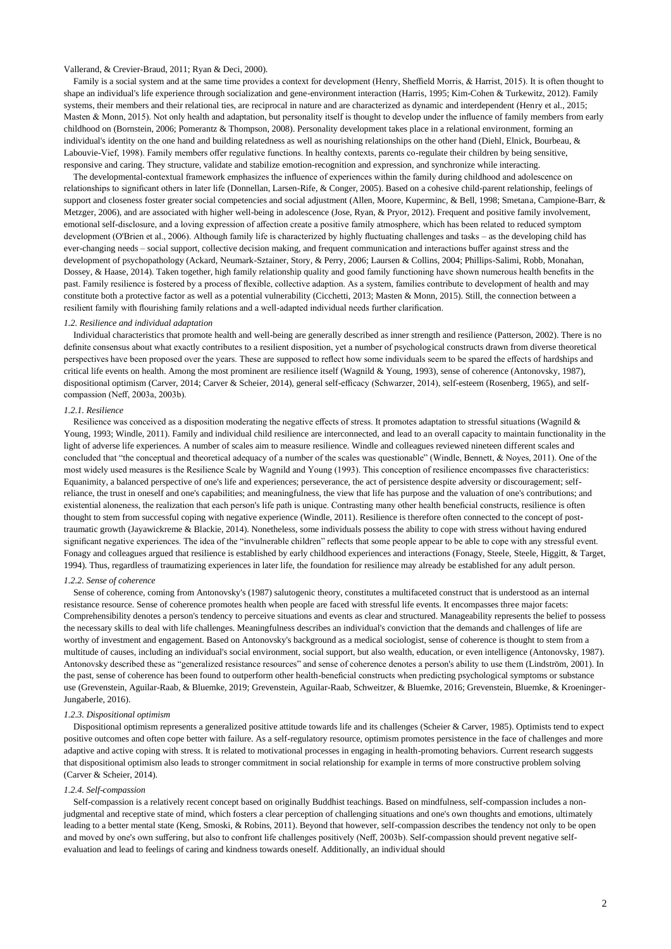# Vallerand, & Crevier-Braud, 2011; Ryan & Deci, 2000).

Family is a social system and at the same time provides a context for development (Henry, Sheffield Morris, & Harrist, 2015). It is often thought to shape an individual's life experience through socialization and gene-environment interaction (Harris, 1995; Kim-Cohen & Turkewitz, 2012). Family systems, their members and their relational ties, are reciprocal in nature and are characterized as dynamic and interdependent (Henry et al., 2015; Masten & Monn, 2015). Not only health and adaptation, but personality itself is thought to develop under the influence of family members from early childhood on (Bornstein, 2006; Pomerantz & Thompson, 2008). Personality development takes place in a relational environment, forming an individual's identity on the one hand and building relatedness as well as nourishing relationships on the other hand (Diehl, Elnick, Bourbeau, & Labouvie-Vief, 1998). Family members offer regulative functions. In healthy contexts, parents co-regulate their children by being sensitive, responsive and caring. They structure, validate and stabilize emotion-recognition and expression, and synchronize while interacting.

The developmental-contextual framework emphasizes the influence of experiences within the family during childhood and adolescence on relationships to significant others in later life (Donnellan, Larsen-Rife, & Conger, 2005). Based on a cohesive child-parent relationship, feelings of support and closeness foster greater social competencies and social adjustment (Allen, Moore, Kuperminc, & Bell, 1998; Smetana, Campione-Barr, & Metzger, 2006), and are associated with higher well-being in adolescence (Jose, Ryan, & Pryor, 2012). Frequent and positive family involvement, emotional self-disclosure, and a loving expression of affection create a positive family atmosphere, which has been related to reduced symptom development (O'Brien et al., 2006). Although family life is characterized by highly fluctuating challenges and tasks – as the developing child has ever-changing needs – social support, collective decision making, and frequent communication and interactions buffer against stress and the development of psychopathology (Ackard, Neumark-Sztainer, Story, & Perry, 2006; Laursen & Collins, 2004; Phillips-Salimi, Robb, Monahan, Dossey, & Haase, 2014). Taken together, high family relationship quality and good family functioning have shown numerous health benefits in the past. Family resilience is fostered by a process of flexible, collective adaption. As a system, families contribute to development of health and may constitute both a protective factor as well as a potential vulnerability (Cicchetti, 2013; Masten & Monn, 2015). Still, the connection between a resilient family with flourishing family relations and a well-adapted individual needs further clarification.

#### *1.2. Resilience and individual adaptation*

Individual characteristics that promote health and well-being are generally described as inner strength and resilience (Patterson, 2002). There is no definite consensus about what exactly contributes to a resilient disposition, yet a number of psychological constructs drawn from diverse theoretical perspectives have been proposed over the years. These are supposed to reflect how some individuals seem to be spared the effects of hardships and critical life events on health. Among the most prominent are resilience itself (Wagnild & Young, 1993), sense of coherence (Antonovsky, 1987), dispositional optimism (Carver, 2014; Carver & Scheier, 2014), general self-efficacy (Schwarzer, 2014), self-esteem (Rosenberg, 1965), and selfcompassion (Neff, 2003a, 2003b).

#### *1.2.1. Resilience*

Resilience was conceived as a disposition moderating the negative effects of stress. It promotes adaptation to stressful situations (Wagnild & Young, 1993; Windle, 2011). Family and individual child resilience are interconnected, and lead to an overall capacity to maintain functionality in the light of adverse life experiences. A number of scales aim to measure resilience. Windle and colleagues reviewed nineteen different scales and concluded that "the conceptual and theoretical adequacy of a number of the scales was questionable" (Windle, Bennett, & Noyes, 2011). One of the most widely used measures is the Resilience Scale by Wagnild and Young (1993). This conception of resilience encompasses five characteristics: Equanimity, a balanced perspective of one's life and experiences; perseverance, the act of persistence despite adversity or discouragement; selfreliance, the trust in oneself and one's capabilities; and meaningfulness, the view that life has purpose and the valuation of one's contributions; and existential aloneness, the realization that each person's life path is unique. Contrasting many other health beneficial constructs, resilience is often thought to stem from successful coping with negative experience (Windle, 2011). Resilience is therefore often connected to the concept of posttraumatic growth (Jayawickreme & Blackie, 2014). Nonetheless, some individuals possess the ability to cope with stress without having endured significant negative experiences. The idea of the "invulnerable children" reflects that some people appear to be able to cope with any stressful event. Fonagy and colleagues argued that resilience is established by early childhood experiences and interactions (Fonagy, Steele, Steele, Higgitt, & Target, 1994). Thus, regardless of traumatizing experiences in later life, the foundation for resilience may already be established for any adult person.

# *1.2.2. Sense of coherence*

Sense of coherence, coming from Antonovsky's (1987) salutogenic theory, constitutes a multifaceted construct that is understood as an internal resistance resource. Sense of coherence promotes health when people are faced with stressful life events. It encompasses three major facets: Comprehensibility denotes a person's tendency to perceive situations and events as clear and structured. Manageability represents the belief to possess the necessary skills to deal with life challenges. Meaningfulness describes an individual's conviction that the demands and challenges of life are worthy of investment and engagement. Based on Antonovsky's background as a medical sociologist, sense of coherence is thought to stem from a multitude of causes, including an individual's social environment, social support, but also wealth, education, or even intelligence (Antonovsky, 1987). Antonovsky described these as "generalized resistance resources" and sense of coherence denotes a person's ability to use them (Lindström, 2001). In the past, sense of coherence has been found to outperform other health-beneficial constructs when predicting psychological symptoms or substance use (Grevenstein, Aguilar-Raab, & Bluemke, 2019; Grevenstein, Aguilar-Raab, Schweitzer, & Bluemke, 2016; Grevenstein, Bluemke, & Kroeninger-Jungaberle, 2016).

#### *1.2.3. Dispositional optimism*

Dispositional optimism represents a generalized positive attitude towards life and its challenges (Scheier & Carver, 1985). Optimists tend to expect positive outcomes and often cope better with failure. As a self-regulatory resource, optimism promotes persistence in the face of challenges and more adaptive and active coping with stress. It is related to motivational processes in engaging in health-promoting behaviors. Current research suggests that dispositional optimism also leads to stronger commitment in social relationship for example in terms of more constructive problem solving (Carver & Scheier, 2014).

### *1.2.4. Self-compassion*

Self-compassion is a relatively recent concept based on originally Buddhist teachings. Based on mindfulness, self-compassion includes a nonjudgmental and receptive state of mind, which fosters a clear perception of challenging situations and one's own thoughts and emotions, ultimately leading to a better mental state (Keng, Smoski, & Robins, 2011). Beyond that however, self-compassion describes the tendency not only to be open and moved by one's own suffering, but also to confront life challenges positively (Neff, 2003b). Self-compassion should prevent negative selfevaluation and lead to feelings of caring and kindness towards oneself. Additionally, an individual should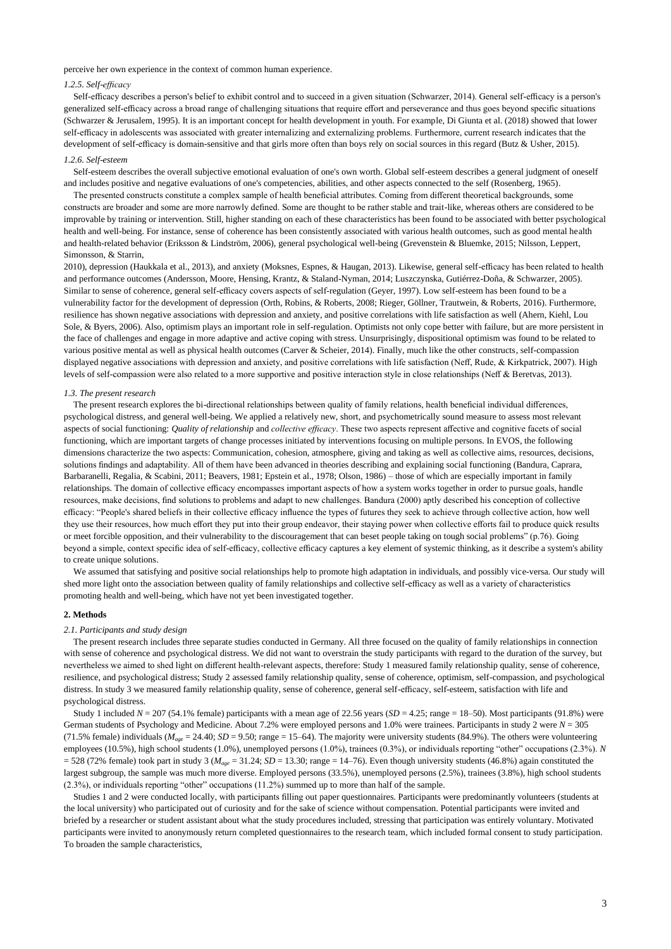perceive her own experience in the context of common human experience.

# *1.2.5. Self-efficacy*

Self-efficacy describes a person's belief to exhibit control and to succeed in a given situation (Schwarzer, 2014). General self-efficacy is a person's generalized self-efficacy across a broad range of challenging situations that require effort and perseverance and thus goes beyond specific situations (Schwarzer & Jerusalem, 1995). It is an important concept for health development in youth. For example, Di Giunta et al. (2018) showed that lower self-efficacy in adolescents was associated with greater internalizing and externalizing problems. Furthermore, current research indicates that the development of self-efficacy is domain-sensitive and that girls more often than boys rely on social sources in this regard (Butz & Usher, 2015).

#### *1.2.6. Self-esteem*

Self-esteem describes the overall subjective emotional evaluation of one's own worth. Global self-esteem describes a general judgment of oneself and includes positive and negative evaluations of one's competencies, abilities, and other aspects connected to the self (Rosenberg, 1965).

The presented constructs constitute a complex sample of health beneficial attributes. Coming from different theoretical backgrounds, some constructs are broader and some are more narrowly defined. Some are thought to be rather stable and trait-like, whereas others are considered to be improvable by training or intervention. Still, higher standing on each of these characteristics has been found to be associated with better psychological health and well-being. For instance, sense of coherence has been consistently associated with various health outcomes, such as good mental health and health-related behavior (Eriksson & Lindström, 2006), general psychological well-being (Grevenstein & Bluemke, 2015; Nilsson, Leppert, Simonsson, & Starrin,

2010), depression (Haukkala et al., 2013), and anxiety (Moksnes, Espnes, & Haugan, 2013). Likewise, general self-efficacy has been related to health and performance outcomes (Andersson, Moore, Hensing, Krantz, & Staland-Nyman, 2014; Luszczynska, Gutiérrez-Doña, & Schwarzer, 2005). Similar to sense of coherence, general self-efficacy covers aspects of self-regulation (Geyer, 1997). Low self-esteem has been found to be a vulnerability factor for the development of depression (Orth, Robins, & Roberts, 2008; Rieger, Göllner, Trautwein, & Roberts, 2016). Furthermore, resilience has shown negative associations with depression and anxiety, and positive correlations with life satisfaction as well (Ahern, Kiehl, Lou Sole, & Byers, 2006). Also, optimism plays an important role in self-regulation. Optimists not only cope better with failure, but are more persistent in the face of challenges and engage in more adaptive and active coping with stress. Unsurprisingly, dispositional optimism was found to be related to various positive mental as well as physical health outcomes (Carver & Scheier, 2014). Finally, much like the other constructs, self-compassion displayed negative associations with depression and anxiety, and positive correlations with life satisfaction (Neff, Rude, & Kirkpatrick, 2007). High levels of self-compassion were also related to a more supportive and positive interaction style in close relationships (Neff & Beretvas, 2013).

#### *1.3. The present research*

The present research explores the bi-directional relationships between quality of family relations, health beneficial individual differences, psychological distress, and general well-being. We applied a relatively new, short, and psychometrically sound measure to assess most relevant aspects of social functioning: *Quality of relationship* and *collective efficacy*. These two aspects represent affective and cognitive facets of social functioning, which are important targets of change processes initiated by interventions focusing on multiple persons. In EVOS, the following dimensions characterize the two aspects: Communication, cohesion, atmosphere, giving and taking as well as collective aims, resources, decisions, solutions findings and adaptability. All of them have been advanced in theories describing and explaining social functioning (Bandura, Caprara, Barbaranelli, Regalia, & Scabini, 2011; Beavers, 1981; Epstein et al., 1978; Olson, 1986) – those of which are especially important in family relationships. The domain of collective efficacy encompasses important aspects of how a system works together in order to pursue goals, handle resources, make decisions, find solutions to problems and adapt to new challenges. Bandura (2000) aptly described his conception of collective efficacy: "People's shared beliefs in their collective efficacy influence the types of futures they seek to achieve through collective action, how well they use their resources, how much effort they put into their group endeavor, their staying power when collective efforts fail to produce quick results or meet forcible opposition, and their vulnerability to the discouragement that can beset people taking on tough social problems" (p.76). Going beyond a simple, context specific idea of self-efficacy, collective efficacy captures a key element of systemic thinking, as it describe a system's ability to create unique solutions.

We assumed that satisfying and positive social relationships help to promote high adaptation in individuals, and possibly vice-versa. Our study will shed more light onto the association between quality of family relationships and collective self-efficacy as well as a variety of characteristics promoting health and well-being, which have not yet been investigated together.

# **2. Methods**

#### *2.1. Participants and study design*

The present research includes three separate studies conducted in Germany. All three focused on the quality of family relationships in connection with sense of coherence and psychological distress. We did not want to overstrain the study participants with regard to the duration of the survey, but nevertheless we aimed to shed light on different health-relevant aspects, therefore: Study 1 measured family relationship quality, sense of coherence, resilience, and psychological distress; Study 2 assessed family relationship quality, sense of coherence, optimism, self-compassion, and psychological distress. In study 3 we measured family relationship quality, sense of coherence, general self-efficacy, self-esteem, satisfaction with life and psychological distress.

Study 1 included  $N = 207$  (54.1% female) participants with a mean age of 22.56 years ( $SD = 4.25$ ; range  $= 18-50$ ). Most participants (91.8%) were German students of Psychology and Medicine. About 7.2% were employed persons and 1.0% were trainees. Participants in study 2 were *N* = 305 (71.5% female) individuals ( $M_{age} = 24.40$ ;  $SD = 9.50$ ; range = 15–64). The majority were university students (84.9%). The others were volunteering employees (10.5%), high school students (1.0%), unemployed persons (1.0%), trainees (0.3%), or individuals reporting "other" occupations (2.3%). *N*  $=$  528 (72% female) took part in study 3 ( $M_{\text{age}} = 31.24$ ;  $SD = 13.30$ ; range  $= 14–76$ ). Even though university students (46.8%) again constituted the largest subgroup, the sample was much more diverse. Employed persons (33.5%), unemployed persons (2.5%), trainees (3.8%), high school students (2.3%), or individuals reporting "other" occupations (11.2%) summed up to more than half of the sample.

Studies 1 and 2 were conducted locally, with participants filling out paper questionnaires. Participants were predominantly volunteers (students at the local university) who participated out of curiosity and for the sake of science without compensation. Potential participants were invited and briefed by a researcher or student assistant about what the study procedures included, stressing that participation was entirely voluntary. Motivated participants were invited to anonymously return completed questionnaires to the research team, which included formal consent to study participation. To broaden the sample characteristics,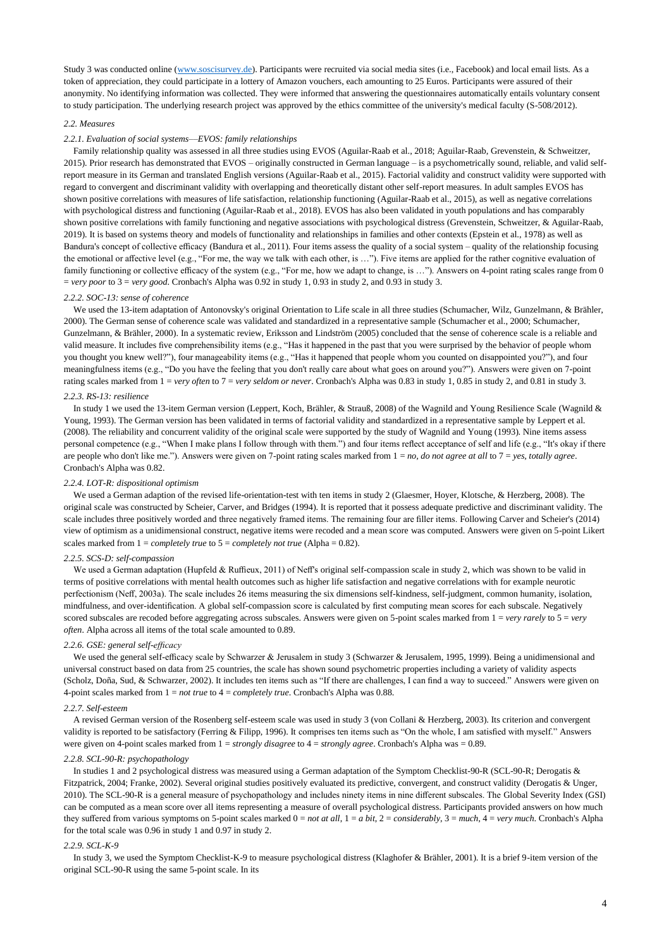Study 3 was conducted online [\(www.soscisurvey.de\)](http://www.soscisurvey.de/). Participants were recruited via social media sites (i.e., Facebook) and local email lists. As a token of appreciation, they could participate in a lottery of Amazon vouchers, each amounting to 25 Euros. Participants were assured of their anonymity. No identifying information was collected. They were informed that answering the questionnaires automatically entails voluntary consent to study participation. The underlying research project was approved by the ethics committee of the university's medical faculty (S-508/2012).

# *2.2. Measures*

#### *2.2.1. Evaluation of social systems––EVOS: family relationships*

Family relationship quality was assessed in all three studies using EVOS (Aguilar-Raab et al., 2018; Aguilar-Raab, Grevenstein, & Schweitzer, 2015). Prior research has demonstrated that EVOS – originally constructed in German language – is a psychometrically sound, reliable, and valid selfreport measure in its German and translated English versions (Aguilar-Raab et al., 2015). Factorial validity and construct validity were supported with regard to convergent and discriminant validity with overlapping and theoretically distant other self-report measures. In adult samples EVOS has shown positive correlations with measures of life satisfaction, relationship functioning (Aguilar-Raab et al., 2015), as well as negative correlations with psychological distress and functioning (Aguilar-Raab et al., 2018). EVOS has also been validated in youth populations and has comparably shown positive correlations with family functioning and negative associations with psychological distress (Grevenstein, Schweitzer, & Aguilar-Raab, 2019). It is based on systems theory and models of functionality and relationships in families and other contexts (Epstein et al., 1978) as well as Bandura's concept of collective efficacy (Bandura et al., 2011). Four items assess the quality of a social system – quality of the relationship focusing the emotional or affective level (e.g., "For me, the way we talk with each other, is …"). Five items are applied for the rather cognitive evaluation of family functioning or collective efficacy of the system (e.g., "For me, how we adapt to change, is ..."). Answers on 4-point rating scales range from 0 = *very poor* to 3 = *very good*. Cronbach's Alpha was 0.92 in study 1, 0.93 in study 2, and 0.93 in study 3.

#### *2.2.2. SOC-13: sense of coherence*

We used the 13-item adaptation of Antonovsky's original Orientation to Life scale in all three studies (Schumacher, Wilz, Gunzelmann, & Brähler, 2000). The German sense of coherence scale was validated and standardized in a representative sample (Schumacher et al., 2000; Schumacher, Gunzelmann, & Brähler, 2000). In a systematic review, Eriksson and Lindström (2005) concluded that the sense of coherence scale is a reliable and valid measure. It includes five comprehensibility items (e.g., "Has it happened in the past that you were surprised by the behavior of people whom you thought you knew well?"), four manageability items (e.g., "Has it happened that people whom you counted on disappointed you?"), and four meaningfulness items (e.g., "Do you have the feeling that you don't really care about what goes on around you?"). Answers were given on 7-point rating scales marked from 1 = *very often* to 7 = *very seldom or never*. Cronbach's Alpha was 0.83 in study 1, 0.85 in study 2, and 0.81 in study 3.

#### *2.2.3. RS-13: resilience*

In study 1 we used the 13-item German version (Leppert, Koch, Brähler, & Strauß, 2008) of the Wagnild and Young Resilience Scale (Wagnild & Young, 1993). The German version has been validated in terms of factorial validity and standardized in a representative sample by Leppert et al. (2008). The reliability and concurrent validity of the original scale were supported by the study of Wagnild and Young (1993). Nine items assess personal competence (e.g., "When I make plans I follow through with them.") and four items reflect acceptance of self and life (e.g., "It's okay if there are people who don't like me."). Answers were given on 7-point rating scales marked from 1 = *no, do not agree at all* to 7 = *yes, totally agree*. Cronbach's Alpha was 0.82.

#### *2.2.4. LOT-R: dispositional optimism*

We used a German adaption of the revised life-orientation-test with ten items in study 2 (Glaesmer, Hoyer, Klotsche, & Herzberg, 2008). The original scale was constructed by Scheier, Carver, and Bridges (1994). It is reported that it possess adequate predictive and discriminant validity. The scale includes three positively worded and three negatively framed items. The remaining four are filler items. Following Carver and Scheier's (2014) view of optimism as a unidimensional construct, negative items were recoded and a mean score was computed. Answers were given on 5-point Likert scales marked from 1 = *completely true* to 5 = *completely not true* (Alpha = 0.82).

# *2.2.5. SCS-D: self-compassion*

We used a German adaptation (Hupfeld & Ruffieux, 2011) of Neff's original self-compassion scale in study 2, which was shown to be valid in terms of positive correlations with mental health outcomes such as higher life satisfaction and negative correlations with for example neurotic perfectionism (Neff, 2003a). The scale includes 26 items measuring the six dimensions self-kindness, self-judgment, common humanity, isolation, mindfulness, and over-identification. A global self-compassion score is calculated by first computing mean scores for each subscale. Negatively scored subscales are recoded before aggregating across subscales. Answers were given on 5-point scales marked from  $1 = very$  *rarely* to  $5 = very$ *often*. Alpha across all items of the total scale amounted to 0.89.

#### *2.2.6. GSE: general self-efficacy*

We used the general self-efficacy scale by Schwarzer & Jerusalem in study 3 (Schwarzer & Jerusalem, 1995, 1999). Being a unidimensional and universal construct based on data from 25 countries, the scale has shown sound psychometric properties including a variety of validity aspects (Scholz, Doña, Sud, & Schwarzer, 2002). It includes ten items such as "If there are challenges, I can find a way to succeed." Answers were given on 4-point scales marked from 1 = *not true* to 4 = *completely true*. Cronbach's Alpha was 0.88.

#### *2.2.7. Self-esteem*

A revised German version of the Rosenberg self-esteem scale was used in study 3 (von Collani & Herzberg, 2003). Its criterion and convergent validity is reported to be satisfactory (Ferring & Filipp, 1996). It comprises ten items such as "On the whole, I am satisfied with myself." Answers were given on 4-point scales marked from 1 = *strongly disagree* to 4 = *strongly agree*. Cronbach's Alpha was = 0.89.

## *2.2.8. SCL-90-R: psychopathology*

In studies 1 and 2 psychological distress was measured using a German adaptation of the Symptom Checklist-90-R (SCL-90-R; Derogatis & Fitzpatrick, 2004; Franke, 2002). Several original studies positively evaluated its predictive, convergent, and construct validity (Derogatis & Unger, 2010). The SCL-90-R is a general measure of psychopathology and includes ninety items in nine different subscales. The Global Severity Index (GSI) can be computed as a mean score over all items representing a measure of overall psychological distress. Participants provided answers on how much they suffered from various symptoms on 5-point scales marked 0 = *not at all*, 1 = *a bit*, 2 = *considerably*, 3 = *much*, 4 = *very much*. Cronbach's Alpha for the total scale was 0.96 in study 1 and 0.97 in study 2.

# *2.2.9. SCL-K-9*

In study 3, we used the Symptom Checklist-K-9 to measure psychological distress (Klaghofer & Brähler, 2001). It is a brief 9-item version of the original SCL-90-R using the same 5-point scale. In its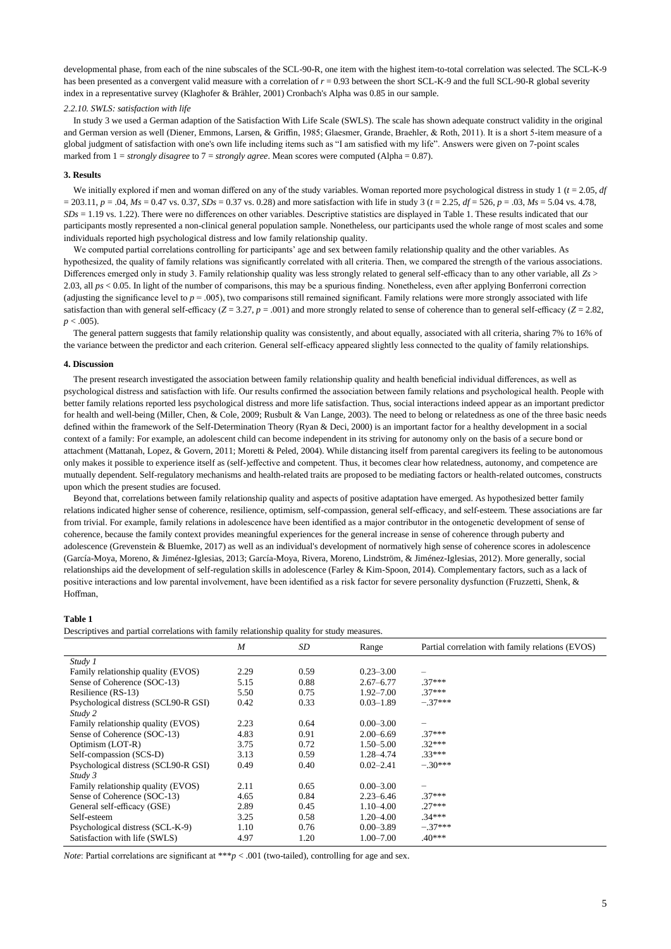developmental phase, from each of the nine subscales of the SCL-90-R, one item with the highest item-to-total correlation was selected. The SCL-K-9 has been presented as a convergent valid measure with a correlation of  $r = 0.93$  between the short SCL-K-9 and the full SCL-90-R global severity index in a representative survey (Klaghofer & Brähler, 2001) Cronbach's Alpha was 0.85 in our sample.

#### *2.2.10. SWLS: satisfaction with life*

In study 3 we used a German adaption of the Satisfaction With Life Scale (SWLS). The scale has shown adequate construct validity in the original and German version as well (Diener, Emmons, Larsen, & Griffin, 1985; Glaesmer, Grande, Braehler, & Roth, 2011). It is a short 5-item measure of a global judgment of satisfaction with one's own life including items such as "I am satisfied with my life". Answers were given on 7-point scales marked from  $1 = strongly disagree$  to  $7 = strongly agree$ . Mean scores were computed (Alpha = 0.87).

### **3. Results**

We initially explored if men and woman differed on any of the study variables. Woman reported more psychological distress in study 1  $(t = 2.05, df)$  $= 203.11$ ,  $p = .04$ ,  $Ms = 0.47$  vs. 0.37,  $SDs = 0.37$  vs. 0.28) and more satisfaction with life in study 3 ( $t = 2.25$ ,  $df = 526$ ,  $p = .03$ ,  $Ms = 5.04$  vs. 4.78, *SDs* = 1.19 vs. 1.22). There were no differences on other variables. Descriptive statistics are displayed in Table 1. These results indicated that our participants mostly represented a non-clinical general population sample. Nonetheless, our participants used the whole range of most scales and some individuals reported high psychological distress and low family relationship quality.

We computed partial correlations controlling for participants' age and sex between family relationship quality and the other variables. As hypothesized, the quality of family relations was significantly correlated with all criteria. Then, we compared the strength of the various associations. Differences emerged only in study 3. Family relationship quality was less strongly related to general self-efficacy than to any other variable, all *Zs* > 2.03, all *ps* < 0.05. In light of the number of comparisons, this may be a spurious finding. Nonetheless, even after applying Bonferroni correction (adjusting the significance level to  $p = .005$ ), two comparisons still remained significant. Family relations were more strongly associated with life satisfaction than with general self-efficacy ( $Z = 3.27$ ,  $p = .001$ ) and more strongly related to sense of coherence than to general self-efficacy ( $Z = 2.82$ ,  $p < .005$ ).

The general pattern suggests that family relationship quality was consistently, and about equally, associated with all criteria, sharing 7% to 16% of the variance between the predictor and each criterion. General self-efficacy appeared slightly less connected to the quality of family relationships.

# **4. Discussion**

The present research investigated the association between family relationship quality and health beneficial individual differences, as well as psychological distress and satisfaction with life. Our results confirmed the association between family relations and psychological health. People with better family relations reported less psychological distress and more life satisfaction. Thus, social interactions indeed appear as an important predictor for health and well-being (Miller, Chen, & Cole, 2009; Rusbult & Van Lange, 2003). The need to belong or relatedness as one of the three basic needs defined within the framework of the Self-Determination Theory (Ryan & Deci, 2000) is an important factor for a healthy development in a social context of a family: For example, an adolescent child can become independent in its striving for autonomy only on the basis of a secure bond or attachment (Mattanah, Lopez, & Govern, 2011; Moretti & Peled, 2004). While distancing itself from parental caregivers its feeling to be autonomous only makes it possible to experience itself as (self-)effective and competent. Thus, it becomes clear how relatedness, autonomy, and competence are mutually dependent. Self-regulatory mechanisms and health-related traits are proposed to be mediating factors or health-related outcomes, constructs upon which the present studies are focused.

Beyond that, correlations between family relationship quality and aspects of positive adaptation have emerged. As hypothesized better family relations indicated higher sense of coherence, resilience, optimism, self-compassion, general self-efficacy, and self-esteem. These associations are far from trivial. For example, family relations in adolescence have been identified as a major contributor in the ontogenetic development of sense of coherence, because the family context provides meaningful experiences for the general increase in sense of coherence through puberty and adolescence (Grevenstein & Bluemke, 2017) as well as an individual's development of normatively high sense of coherence scores in adolescence (García-Moya, Moreno, & Jiménez-Iglesias, 2013; García-Moya, Rivera, Moreno, Lindström, & Jiménez-Iglesias, 2012). More generally, social relationships aid the development of self-regulation skills in adolescence (Farley & Kim-Spoon, 2014). Complementary factors, such as a lack of positive interactions and low parental involvement, have been identified as a risk factor for severe personality dysfunction (Fruzzetti, Shenk, & Hoffman,

## **Table 1**

Descriptives and partial correlations with family relationship quality for study measures.

|                                      | M    | SD   | Range         | Partial correlation with family relations (EVOS) |
|--------------------------------------|------|------|---------------|--------------------------------------------------|
| Study 1                              |      |      |               |                                                  |
| Family relationship quality (EVOS)   | 2.29 | 0.59 | $0.23 - 3.00$ |                                                  |
| Sense of Coherence (SOC-13)          | 5.15 | 0.88 | $2.67 - 6.77$ | $.37***$                                         |
| Resilience (RS-13)                   | 5.50 | 0.75 | $1.92 - 7.00$ | $.37***$                                         |
| Psychological distress (SCL90-R GSI) | 0.42 | 0.33 | $0.03 - 1.89$ | $-.37***$                                        |
| Study 2                              |      |      |               |                                                  |
| Family relationship quality (EVOS)   | 2.23 | 0.64 | $0.00 - 3.00$ |                                                  |
| Sense of Coherence (SOC-13)          | 4.83 | 0.91 | $2.00 - 6.69$ | $.37***$                                         |
| Optimism (LOT-R)                     | 3.75 | 0.72 | $1.50 - 5.00$ | $.32***$                                         |
| Self-compassion (SCS-D)              | 3.13 | 0.59 | 1.28–4.74     | $.33***$                                         |
| Psychological distress (SCL90-R GSI) | 0.49 | 0.40 | $0.02 - 2.41$ | $-.30***$                                        |
| Study 3                              |      |      |               |                                                  |
| Family relationship quality (EVOS)   | 2.11 | 0.65 | $0.00 - 3.00$ | $\qquad \qquad -$                                |
| Sense of Coherence (SOC-13)          | 4.65 | 0.84 | $2.23 - 6.46$ | $.37***$                                         |
| General self-efficacy (GSE)          | 2.89 | 0.45 | $1.10 - 4.00$ | $.27***$                                         |
| Self-esteem                          | 3.25 | 0.58 | $1.20 - 4.00$ | $.34***$                                         |
| Psychological distress (SCL-K-9)     | 1.10 | 0.76 | $0.00 - 3.89$ | $-.37***$                                        |
| Satisfaction with life (SWLS)        | 4.97 | 1.20 | $1.00 - 7.00$ | $.40***$                                         |

*Note*: Partial correlations are significant at \*\*\**p* < .001 (two-tailed), controlling for age and sex.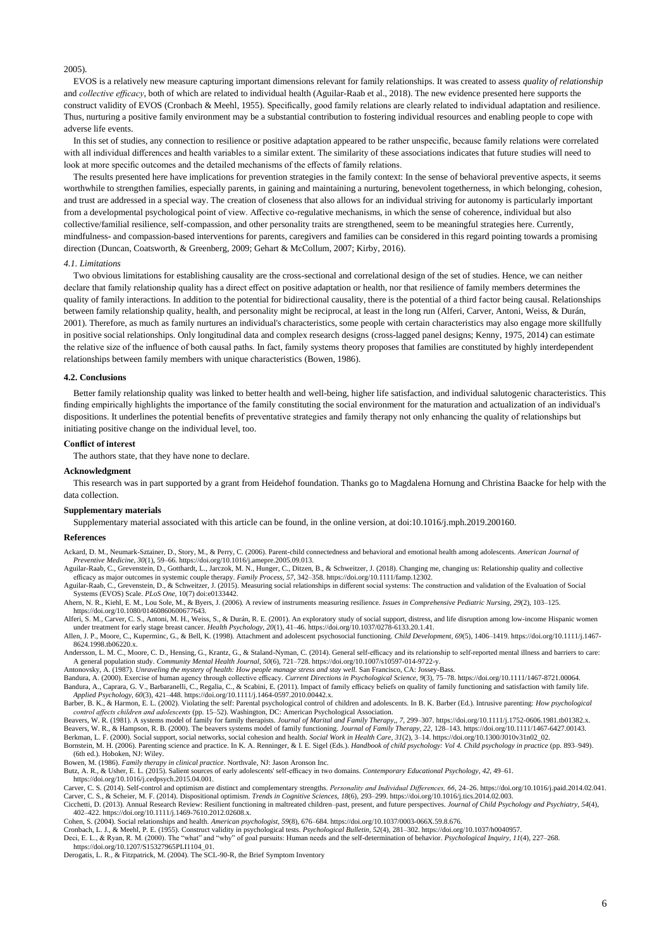# 2005).

EVOS is a relatively new measure capturing important dimensions relevant for family relationships. It was created to assess *quality of relationship* and *collective efficacy*, both of which are related to individual health (Aguilar-Raab et al., 2018). The new evidence presented here supports the construct validity of EVOS (Cronbach & Meehl, 1955). Specifically, good family relations are clearly related to individual adaptation and resilience. Thus, nurturing a positive family environment may be a substantial contribution to fostering individual resources and enabling people to cope with adverse life events.

In this set of studies, any connection to resilience or positive adaptation appeared to be rather unspecific, because family relations were correlated with all individual differences and health variables to a similar extent. The similarity of these associations indicates that future studies will need to look at more specific outcomes and the detailed mechanisms of the effects of family relations.

The results presented here have implications for prevention strategies in the family context: In the sense of behavioral preventive aspects, it seems worthwhile to strengthen families, especially parents, in gaining and maintaining a nurturing, benevolent togetherness, in which belonging, cohesion, and trust are addressed in a special way. The creation of closeness that also allows for an individual striving for autonomy is particularly important from a developmental psychological point of view. Affective co-regulative mechanisms, in which the sense of coherence, individual but also collective/familial resilience, self-compassion, and other personality traits are strengthened, seem to be meaningful strategies here. Currently, mindfulness- and compassion-based interventions for parents, caregivers and families can be considered in this regard pointing towards a promising direction (Duncan, Coatsworth, & Greenberg, 2009; Gehart & McCollum, 2007; Kirby, 2016).

# *4.1. Limitations*

Two obvious limitations for establishing causality are the cross-sectional and correlational design of the set of studies. Hence, we can neither declare that family relationship quality has a direct effect on positive adaptation or health, nor that resilience of family members determines the quality of family interactions. In addition to the potential for bidirectional causality, there is the potential of a third factor being causal. Relationships between family relationship quality, health, and personality might be reciprocal, at least in the long run (Alferi, Carver, Antoni, Weiss, & Durán, 2001). Therefore, as much as family nurtures an individual's characteristics, some people with certain characteristics may also engage more skillfully in positive social relationships. Only longitudinal data and complex research designs (cross-lagged panel designs; Kenny, 1975, 2014) can estimate the relative size of the influence of both causal paths. In fact, family systems theory proposes that families are constituted by highly interdependent relationships between family members with unique characteristics (Bowen, 1986).

#### **4.2. Conclusions**

Better family relationship quality was linked to better health and well-being, higher life satisfaction, and individual salutogenic characteristics. This finding empirically highlights the importance of the family constituting the social environment for the maturation and actualization of an individual's dispositions. It underlines the potential benefits of preventative strategies and family therapy not only enhancing the quality of relationships but initiating positive change on the individual level, too.

# **Conflict of interest**

The authors state, that they have none to declare.

#### **Acknowledgment**

This research was in part supported by a grant from Heidehof foundation. Thanks go to Magdalena Hornung and Christina Baacke for help with the data collection.

#### **Supplementary materials**

Supplementary material associated with this article can be found, in the online version, at doi:10.1016/j.mph.2019.200160.

#### **References**

Ackard, D. M., Neumark-Sztainer, D., Story, M., & Perry, C. (2006). Parent-child connectedness and behavioral and emotional health among adolescents. *American Journal of Preventive Medicine, 30*(1), 59–66. https://doi.org/10.1016/j.amepre.2005.09.013.

Aguilar-Raab, C., Grevenstein, D., Gotthardt, L., Jarczok, M. N., Hunger, C., Ditzen, B., & Schweitzer, J. (2018). Changing me, changing us: Relationship quality and collective efficacy as major outcomes in systemic couple

Systems (EVOS) Scale. *PLoS One*, 10(7) doi:e0133442.

Ahern, N. R., Kiehl, E. M., Lou Sole, M., & Byers, J. (2006). A review of instruments measuring resilience. *Issues in Comprehensive Pediatric Nursing, 29*(2), 103–125. https://doi.org/10.1080/01460860600677643.

Alferi, S. M., Carver, C. S., Antoni, M. H., Weiss, S., & Durán, R. E. (2001). An exploratory study of social support, distress, and life disruption among low-income Hispanic women under treatment for early stage breast cancer. Health Psychology, 20(1), 41-46. https://doi.org/10.1037/0278-6133.20.1.41.<br>Allen, J. P., Moore, C., Kuperminc, G., & Bell, K. (1998). Attachment and adolescent psychosocial f

8624.1998.tb06220.x.

Andersson, L. M. C., Moore, C. D., Hensing, G., Krantz, G., & Staland-Nyman, C. (2014). General self-efficacy and its relationship to self-reported mental illness and barriers to care:<br>A general population study. Community

Antonovsky, A. (1987). *Unraveling the mystery of health: How people manage stress and stay well.* San Francisco, CA: Jossey-Bass.

Bandura, A. (2000). Exercise of human agency through collective efficacy. Current Directions in Psychological Science, 9(3), 75–78. https://doi.org/10.1111/1467-8721.00064.<br>Bandura, A., Caprara, G. V., Barbaranelli, C., Re *Applied Psychology, 60*(3), 421–448. https://doi.org/10.1111/j.1464-0597.2010.00442.x.

Barber, B. K., & Harmon, E. L. (2002). Violating the self: Parental psychological control of children and adolescents. In B. K. Barber (Ed.). Intrusive parenting: *How psychological* control affects children and adolescent

Beavers, W. R. (1981). A systems model of family for family therapists. *Journal of Marital and Family Therapy*,, 7, 299–307. https://doi.org/10.1111/j.1752-0606.1981.tb01382.x.<br>Beavers, W. R., & Hampson, R. B. (2000). The

Bornstein, M. H. (2006). Parenting science and practice. In K. A. Renninger, & I. E. Sigel (Eds.). *Handbook of child psychology: Vol 4. Child psychology in practice* (pp. 893–949). (6th ed.). Hoboken, NJ: Wiley.

Bowen, M. (1986). *Family therapy in clinical practice*. Northvale, NJ: Jason Aronson Inc.

Butz, A. R., & Usher, E. L. (2015). Salient sources of early adolescents' self-efficacy in two domains. *Contemporary Educational Psychology, 42*, 49–61. https://doi.org/10.1016/j.cedpsych.2015.04.001.

Carver, C. S. (2014). Self-control and optimism are distinct and complementary strengths. *Personality and Individual Differences, 66*, 24–26. https://doi.org/10.1016/j.paid.2014.02.041.

Carver, C. S., & Scheier, M. F. (2014). Dispositional optimism. *Trends in Cognitive Sciences, 18*(6), 293–299. https://doi.org/10.1016/j.tics.2014.02.003.

Cicchetti, D. (2013). Annual Research Review: Resilient functioning in maltreated children–past, present, and future perspectives. *Journal of Child Psychology and Psychiatry, 54*(4), 402–422. https://doi.org/10.1111/j.1469-7610.2012.02608.x.

Cohen, S. (2004). Social relationships and health. *American psychologist, 59*(8), 676–684. https://doi.org/10.1037/0003-066X.59.8.676.

Cronbach, L. J., & Meehl, P. E. (1955). Construct validity in psychological tests. Psychological Bulletin, 52(4), 281-302. https://doi.org/10.1037/h0040957.<br>Deci, E. L., & Ryan, R. M. (2000). The "what" and "why" of goal p

https://doi.org/10.1207/S15327965PLI1104\_01.

Derogatis, L. R., & Fitzpatrick, M. (2004). The SCL-90-R, the Brief Symptom Inventory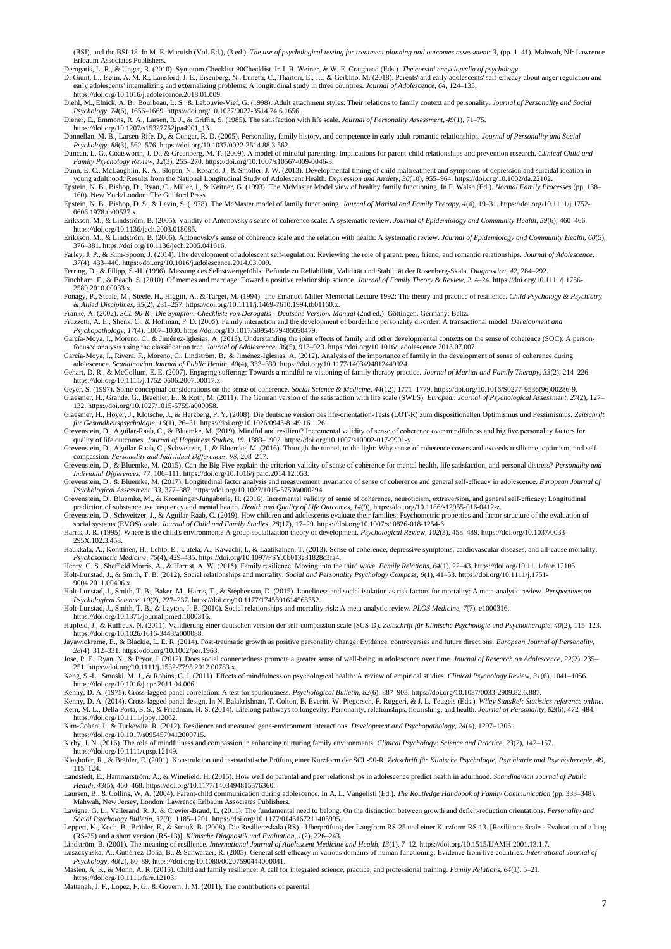(BSI), and the BSI-18. In M. E. Maruish (Vol. Ed.), (3 ed.). *The use of psychological testing for treatment planning and outcomes assessment: 3*, (pp. 1–41). Mahwah, NJ: Lawrence Erlbaum Associates Publishers.

Derogatis, L. R., & Unger, R. (2010). Symptom Checklist‐90Checklist. In I. B. Weiner, & W. E. Craighead (Eds.). *The corsini encyclopedia of psychology*.

Di Giunt, L., Iselin, A. M. R., Lansford, J. E., Eisenberg, N., Lunetti, C., Thartori, E., ..., & Gerbino, M. (2018). Parents' and early adolescents' self-efficacy about anger regulation and early adolescents' internalizin https://doi.org/10.1016/j.adolescence.2018.01.009.

Diehl, M., Elnick, A. B., Bourbeau, L. S., & Labouvie-Vief, G. (1998). Adult attachment styles: Their relations to family context and personality. Journal of Personality and Social Psychology, 74(6), 1656–1669. https://doi

Diener, E., Emmons, R. A., Larsen, R. J., & Griffin, S. (1985). The satisfaction with life scale. *Journal of Personality Assessment*, 49(1), 71–75.<br>https://doi.org/10.1207/s15327752jpa4901\_13.<br>Donnellan, M. B., Larsen-Rif

Psychology, 88(3), 562–576. https://doi.org/10.1037/0022-3514.88.3.562.<br>Duncan, L. G., Coatsworth, J. D., & Greenberg, M. T. (2009). A model of mindful parenting: Implications for parent-child relationships and prevention

Dunn, E. C., McLaughlin, K. A., Slopen, N., Rosand, J., & Smoller, J. W. (2013). Developmental timing of child maltreatment and symptoms of depression and suicidal ideation in young adulthood: Results from the National Longitudinal Study of Adolescent Health. Depression and Anxiety, 30(10), 955-964. https://doi.org/10.1002/da.22102.<br>Epstein, N. B., Bishop, D., Ryan, C., Miller, I., & Keitner, G.

160). New York/London: The Guilford Press.<br>Epstein, N. B., Bishop, D. S., & Levin, S. (1978). The McMaster model of family functioning. Journal of Marital and Family Therapy, 4(4), 19-31. https://doi.org/10.1111/j.1752-060

Eriksson, M., & Lindström, B. (2005). Validity of Antonovsky's sense of coherence scale: A systematic review. *Journal of Epidemiology and Community Health, 59*(6), 460–466. https://doi.org/10.1136/jech.2003.018085.

Eriksson, M., & Lindström, B. (2006). Antonovsky's sense of coherence scale and the relation with health: A systematic review. *Journal of Epidemiology and Community Health, 60*(5), 376–381. https://doi.org/10.1136/jech.2005.041616.

Farley, J. P., & Kim-Spoon, J. (2014). The development of adolescent self-regulation: Reviewing the role of parent, peer, friend, and romantic relationships. *Journal of Adolescence*, 37(4), 433-440. https://doi.org/10.101

Ferring, D., & Filipp, S.-H. (1996). Messung des Selbstwertgefühls: Befunde zu Reliabilität, Validität und Stabilität der Rosenberg-Skala. *Diagnostica, 42*, 284–292. Finchham, F., & Beach, S. (2010). Of memes and marriage: Toward a positive relationship science. *Journal of Family Theory & Review, 2*, 4–24. https://doi.org/10.1111/j.1756-  $2589.2010.00033.x.$ 

Fonagy, P., Steele, M., Steele, H., Higgitt, A., & Target, M. (1994). The Emanuel Miller Memorial Lecture 1992: The theory and practice of resilience. *Child Psychology & Psychiatry*  & Allied Disciplines, 35(2), 231-257. https://doi.org/10.1111/j.1469-7610.1994.tb01160.x.<br>Franke, A. (2002). SCL-90-R - Die Symptom-Checkliste von Derogatis - Deutsche Version. Manual (2nd ed.). Göttingen, Germany: Beltz.

Fruzzetti, A. E., Shenk, C., & Hoffman, P. D. (2005). Family interaction and the development of borderline personality disorder: A transactional model. *Development and*<br>Psychopathology, 17(4), 1007–1030. https://doi.org/1

focused analysis using the classification tree. *Journal of Adolescence, 36*(5), 913–923. https://doi.org/10.1016/j.adolescence.2013.07.007.

García-Moya, I., Rivera, F., Moreno, C., Lindström, B., & Jiménez-Iglesias, A. (2012). Analysis of the importance of family in the development of sense of coherence during adolescence. Scandinavian Journal of Public Health

Gehart, D. R., & McCollum, E. E. (2007). Engaging suffering: Towards a mindful re-visioning of family therapy practice. *Journal of Marital and Family Therapy, 33*(2), 214–226. https://doi.org/10.1111/j.1752-0606.2007.00017.x.<br>Geyer, S. (1997). Some conceptual considerations on the sense of coherence. Social Science & Medicine, 44(12), 1771–1779. https://doi.org/10.1016/S0277-9536(96)00286-9.

Glaesmer, H., Grande, G., Braehler, E., & Roth, M. (2011). The German version of the satisfaction with life scale (SWLS). *European Journal of Psychological Assessment, 27*(2), 127– 132. https://doi.org/10.1027/1015-5759/a000058.

Glaesmer, H., Hoyer, J., Klotsche, J., & Herzberg, P. Y. (2008). Die deutsche version des life-orientation-Tests (LOT-R) zum dispositionellen Optimismus und Pessimismus*. Zeitschrift*  für Gesundheitspsychologie, 16(1), 26–31. https://doi.org/10.1026/0943-8149.16.1.26.<br>Grevenstein, D., Aguilar-Raab, C., & Bluemke, M. (2019). Mindful and resilient? Incremental validity of sense of coherence over mindfulne

quality of life outcomes. *Journal of Happiness Studies, 19*, 1883–1902. https://doi.org/10.1007/s10902-017-9901-y.

Grevenstein, D., Aguilar-Raab, C., Schweitzer, J., & Bluemke, M. (2016). Through the tunnel, to the light: Why sense of coherence covers and exceeds resilience, optimism, and self-<br>compassion. Personality and Individual Di

Grevenstein, D., & Bluemke, M. (2015). Can the Big Five explain the criterion validity of sense of coherence for mental health, life satisfaction, and personal distress? *Personality and* 

Individual Differences, 77, 106-111. https://doi.org/10.1016/j.paid.2014.12.053.<br>Grevenstein, D., & Bluemke, M. (2017). Longitudinal factor analysis and measurement invariance of sense of coherence and general self-efficac

Grevenstein, D., Bluemke, M., & Kroeninger-Jungaberle, H. (2016). Incremental validity of sense of coherence, neuroticism, extraversion, and general self-efficacy: Longitudinal prediction of substance use frequency and men

Grevenstein, D., Schweitzer, J., & Aguilar-Raab, C. (2019). How children and adolescents evaluate their families: Psychometric properties and factor structure of the evaluation of social systems (EVOS) scale. *Journal of Child and Family Studies, 28*(17), 17–29. https://doi.org/10.1007/s10826-018-1254-6. Harris, J. R. (1995). Where is the child's environment? A group socialization theory of development. *Psychological Review, 102*(3), 458–489. https://doi.org/10.1037/0033-

295X.102.3.458. Haukkala, A., Konttinen, H., Lehto, E., Uutela, A., Kawachi, I., & Laatikainen, T. (2013). Sense of coherence, depressive symptoms, cardiovascular diseases, and all-cause mortality.<br>Psychosomatic Medicine, 75(4), 429–435.

Holt-Lunstad, J., & Smith, T. B. (2012). Social relationships and mortality. *Social and Personality Psychology Compass, 6*(1), 41–53. https://doi.org/10.1111/j.1751- 9004.2011.00406.x.

Holt-Lunstad, J., Smith, T. B., Baker, M., Harris, T., & Stephenson, D. (2015). Loneliness and social isolation as risk factors for mortality: A meta-analytic review. *Perspectives on* 

Psychological Science, 10(2), 227-237. https://doi.org/10.1177/1745691614568352.<br>Holt-Lunstad, J., Smith, T. B., & Layton, J. B. (2010). Social relationships and mortality risk: A meta-analytic review. PLOS Medicine, 7(7), https://doi.org/10.1371/journal.pmed.1000316.

Hupfeld, J., & Ruffieux, N. (2011). Validierung einer deutschen version der self-compassion scale (SCS-D). Zeitschrift für Klinische Psychologie und Psychotherapie, 40(2), 115-123.<br>https://doi.org/10.1026/1616-3443/a000088

Jayawickreme, E., & Blackie, L. E. R. (2014). Post-traumatic growth as positive personality change: Evidence, controversies and future directions. *European Journal of Personality,* 

28(4), 312-331. https://doi.org/10.1002/per.1963.<br>Jose, P. E., Ryan, N., & Pryor, J. (2012). Does social connectedness promote a greater sense of well-being in adolescence over time. Journal of Research on Adolescence, 22( 251. https://doi.org/10.1111/j.1532-7795.2012.00783.x.

Keng, S.-L., Smoski, M. J., & Robins, C. J. (2011). Effects of mindfulness on psychological health: A review of empirical studies. *Clinical Psychology Review, 31*(6), 1041–1056.

https://doi.org/10.1016/j.cpr.2011.04.006. Kenny, D. A. (1975). Cross-lagged panel correlation: A test for spuriousness. *Psychological Bulletin, 82*(6), 887–903. https://doi.org/10.1037/0033-2909.82.6.887.

Kenny, D. A. (2014). Cross-lagged panel design. In N. Balakrishnan, T. Colton, B. Everitt, W. Piegorsch, F. Ruggeri, & J. L. Teugels (Eds.). *Wiley StatsRef: Statistics reference online.* Kern, M. L., Della Porta, S. S., & Friedman, H. S. (2014). Lifelong pathways to longevity: Personality, relationships, flourishing, and health. *Journal of Personality, 82*(6), 472–484. https://doi.org/10.1111/jopy.12062.

Kim-Cohen, J., & Turkewitz, R. (2012). Resilience and measured gene-environment interactions. *Development and Psychopathology, 24*(4), 1297–1306.

https://doi.org/10.1017/s0954579412000715.

Kirby, J. N. (2016). The role of mindfulness and compassion in enhancing nurturing family environments. *Clinical Psychology: Science and Practice, 23*(2), 142–157.

https://doi.org/10.1111/cpsp.12149.<br>Klaghofer, R., & Brähler, E. (2001). Konstruktion und teststatistische Prüfung einer Kurzform der SCL-90-R. Zeitschrift für Klinische Psychologie, Psychiatrie und Psychotherapie, 49,  $115 - 124$ .

Landstedt, E., Hammarström, A., & Winefield, H. (2015). How well do parental and peer relationships in adolescence predict health in adulthood. *Scandinavian Journal of Public Health, 43*(5), 460–468. https://doi.org/10.1177/1403494815576360.

Laursen, B., & Collins, W. A. (2004). Parent-child communication during adolescence. In A. L. Vangelisti (Ed.). *The Routledge Handbook of Family Communication* (pp. 333–348). Mahwah, New Jersey, London: Lawrence Erlbaum Associates Publishers.<br>Lavigne, G. L., Vallerand, R. J., & Crevier-Braud, L. (2011). The fundamental need to belong: On the distinction between growth and deficit-reduction orie

*Social Psychology Bulletin, 37*(9), 1185–1201. https://doi.org/10.1177/0146167211405995.

Leppert, K., Koch, B., Brähler, E., & Strauß, B. (2008). Die Resilienzskala (RS) - Überprüfung der Langform RS-25 und einer Kurzform RS-13. [Resilience Scale - Evaluation of a long (RS-25) and a short version (RS-13)]. Kli

Lindström, B. (2001). The meaning of resilience. *International Journal of Adolescent Medicine and Health, 13*(1), 7–12. https://doi.org/10.1515/IJAMH.2001.13.1.7. Luszczynska, A., Gutiérrez-Doña, B., & Schwarzer, R. (2005). General self-efficacy in various domains of human functioning: Evidence from five countries. International Journal of Psychology, 40(2), 80–89. https://doi.org/1

Masten, A. S., & Monn, A. R. (2015). Child and family resilience: A call for integrated science, practice, and professional training. *Family Relations, 64*(1), 5-21. https://doi.org/10.1111/fare.12103.

Mattanah, J. F., Lopez, F. G., & Govern, J. M. (2011). The contributions of parental